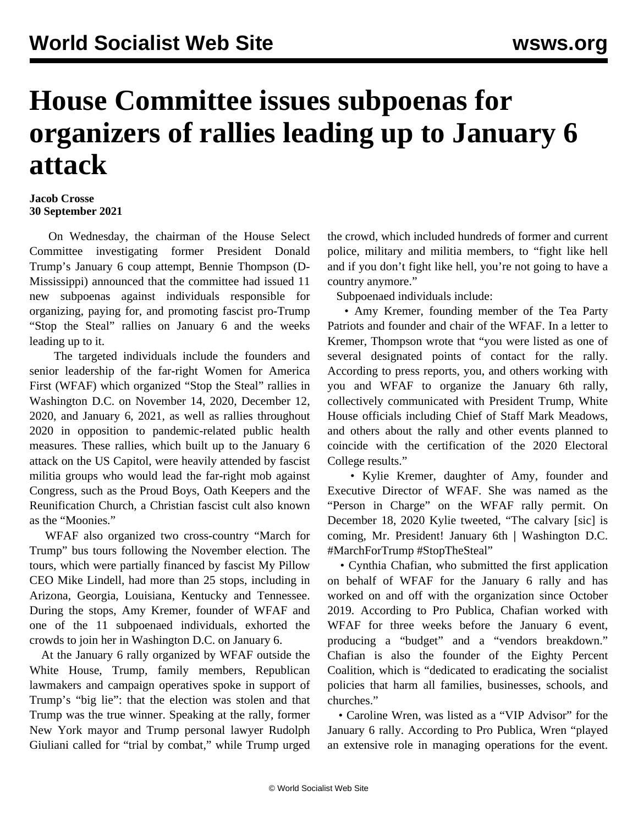## **House Committee issues subpoenas for organizers of rallies leading up to January 6 attack**

**Jacob Crosse 30 September 2021**

 On Wednesday, the chairman of the House Select Committee investigating former President Donald Trump's January 6 coup attempt, Bennie Thompson (D-Mississippi) announced that the committee had issued 11 new subpoenas against individuals responsible for organizing, paying for, and promoting fascist pro-Trump "Stop the Steal" rallies on January 6 and the weeks leading up to it.

 The targeted individuals include the founders and senior leadership of the far-right Women for America First (WFAF) which organized "Stop the Steal" rallies in Washington D.C. on November 14, 2020, December 12, 2020, and January 6, 2021, as well as rallies throughout 2020 in opposition to pandemic-related public health measures. These rallies, which built up to the January 6 attack on the US Capitol, were heavily attended by fascist militia groups who would lead the far-right mob against Congress, such as the [Proud Boys, Oath Keepers and the](/en/articles/2021/09/13/trum-s13.html) [Reunification Church,](/en/articles/2021/09/13/trum-s13.html) a Christian fascist cult also known as the "Moonies."

 WFAF also organized two cross-country "March for Trump" bus tours following the November election. The tours, which were partially financed by fascist [My Pillow](/en/articles/2021/08/13/cybe-a13.html) [CEO Mike Lindell,](/en/articles/2021/08/13/cybe-a13.html) had more than 25 stops, including in Arizona, Georgia, Louisiana, Kentucky and Tennessee. During the stops, Amy Kremer, founder of WFAF and one of the 11 subpoenaed individuals, exhorted the crowds to join her in Washington D.C. on January 6.

 At the January 6 rally organized by WFAF outside the White House, Trump, family members, Republican lawmakers and campaign operatives spoke in support of Trump's "big lie": that the election was stolen and that Trump was the true winner. Speaking at the rally, former New York mayor and Trump personal lawyer Rudolph Giuliani called for "trial by combat," while Trump urged

the crowd, which included hundreds of former and current police, military and militia members, to "fight like hell and if you don't fight like hell, you're not going to have a country anymore."

Subpoenaed individuals include:

 • Amy Kremer, founding member of the Tea Party Patriots and founder and chair of the WFAF. In a letter to Kremer, Thompson wrote that "you were listed as one of several designated points of contact for the rally. According to press reports, you, and others working with you and WFAF to organize the January 6th rally, collectively communicated with President Trump, White House officials including Chief of Staff Mark Meadows, and others about the rally and other events planned to coincide with the certification of the 2020 Electoral College results."

 • Kylie Kremer, daughter of Amy, founder and Executive Director of WFAF. She was named as the "Person in Charge" on the WFAF rally permit. On December 18, 2020 Kylie tweeted, "The calvary [sic] is coming, Mr. President! January 6th **|** Washington D.C. #MarchForTrump #StopTheSteal"

 • Cynthia Chafian, who submitted the first application on behalf of WFAF for the January 6 rally and has worked on and off with the organization since October 2019. According to Pro Publica, Chafian worked with WFAF for three weeks before the January 6 event, producing a "budget" and a "vendors breakdown." Chafian is also the founder of the Eighty Percent Coalition, which is "dedicated to eradicating the socialist policies that harm all families, businesses, schools, and churches."

 • Caroline Wren, was listed as a "VIP Advisor" for the January 6 rally. According to Pro Publica, Wren "played an extensive role in managing operations for the event.